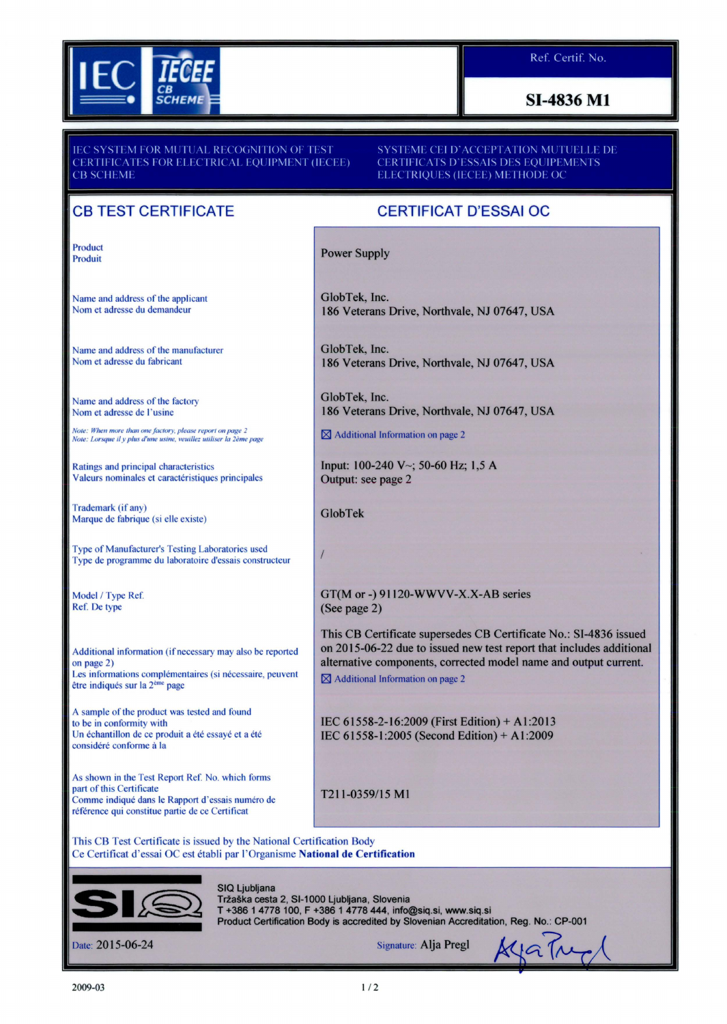

### **SI-4836 M1**

SYSTEM FOR MUTUAL RECOGNITION OF TEST **CERTIFICATES FOR ELECTRICAL EOUIPMENT (IECEE) CB SCHEME** 

SYSTEME CEI D'ACCEPTATION MUTUELLE DE **CERTIFICATS D'ESSAIS DES EOUIPEMENTS** ELECTRIQUES (IECEE) METHODE OC

# CB TEST CERTIFICATE

Product Produit

Name and address of the applicant Nom et adresse du demandeur

Name and address of the manufacturer Norn et adresse du fabricant

Name and address of the factory Nom et adresse de l'usine

*Note: When more than 011e fact01y , please report on page 2 Note: l orsque ii y plus d'une 11si11e, veuillez utiliser la 2eme page* 

Ratings and principal characteristics Valeurs nominales et caractéristiques principales

Trademark (if any) Marque de fabrique (si elle existe)

Type of Manufacturer's Testing Laboratories used Type de programme du laboratoire d'essais constructeur

Model / Type Ref. Ref. De type

Additional information (if necessary may also be reported on page 2) Les informations complémentaires (si nécessaire, peuvent être indiqués sur la 2<sup>ème</sup> page

A sample of the product was tested and found to be in conformity with Un échantillon de ce produit a été essayé et a été considéré conforme à la

As shown in the Test Report Ref. No. which forms part of this Certificate Comme indique dans le Rapport d'essais numero de référence qui constitue partie de ce Certificat

## CERTIFICAT D'ESSAI OC

Power Supply

GlobTek, Inc. 186 Veterans Drive, Northvale, NJ 07647, USA

GlobTek, Inc. 186 Veterans Drive, Northvale, NJ 07647, USA

GlobTek, Inc. 186 Veterans Drive, Northvale, NJ 07647, USA

 $\boxtimes$  Additional Information on page 2

Input: 100-240 V~; 50-60 Hz; 1,5 A Output: see page 2

GlobTek

### $\overline{1}$

GT(M or-) 91120-WWVV-X.X-AB series (See page 2)

This CB Certificate supersedes CB Certificate No.: SI-4836 issued on 2015-06-22 due to issued new test report that includes additional alternative components, corrected model name and output current.  $\boxtimes$  Additional Information on page 2

IEC 61558-2-16:2009 (First Edition)+ A1:2013 IEC 61558-1:2005 (Second Edition)+ A1:2009

T211-0359/15 Ml

This CB Test Certificate is issued by the National Certification Body Ce Certificat d'essai OC est etabli par l'Organisme National de Certification



SIQ Ljubljana Tržaška cesta 2, SI-1000 Ljubljana, Slovenia<br>T +386 1 4778 100, F +386 1 4778 444, info@siq.si, www.siq.si Tržaška cesta 2, SI-1000 Ljubljana, Slovenia<br>T +386 1 4778 100, F +386 1 4778 444, info@siq.si, www.siq.si<br>Product Certification Body is accredited by Slovenian Accreditation, Reg. No.: CP-001

Product Centrication Body is accedited by Slovenian Acceditation, Reg. No.: CP-<br>Date: 2015-06-24 Signature: Alja Pregl  $M$